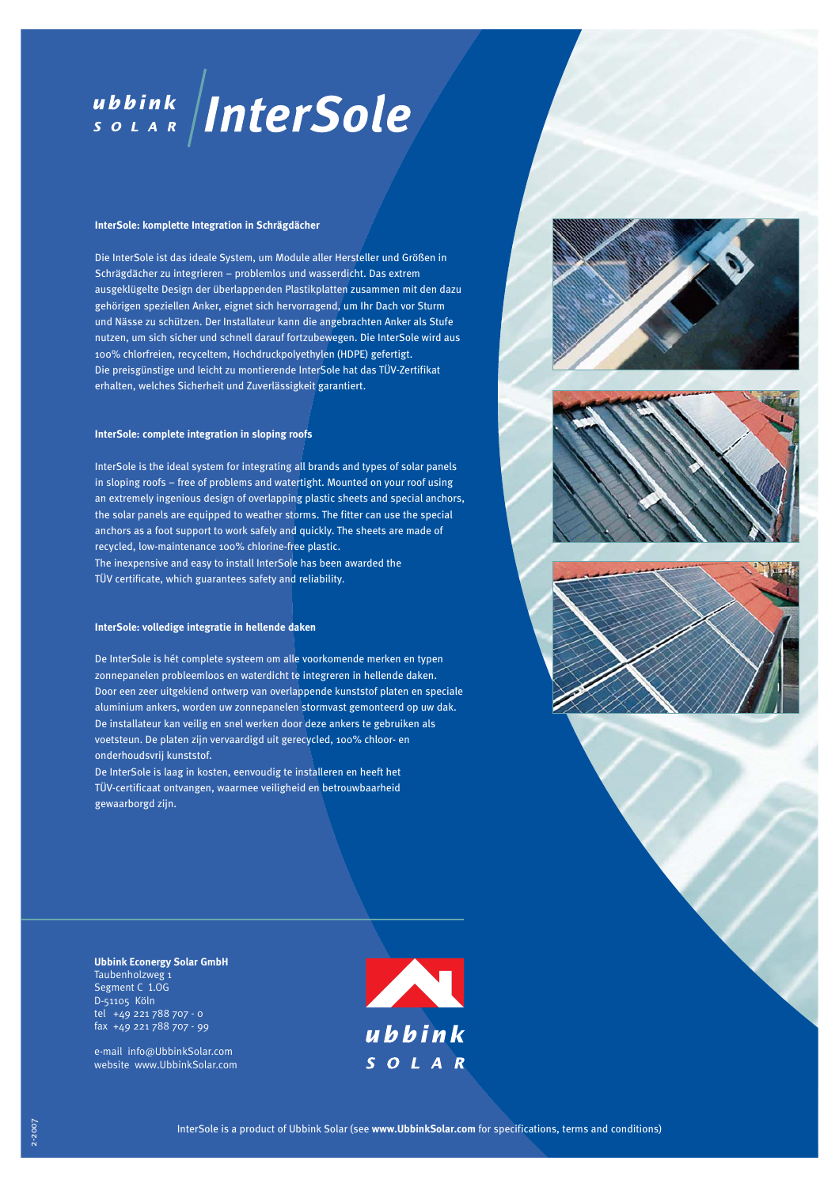# ubbink InterSole

# **InterSole: komplette Integration in Schrägdächer**

Die InterSole ist das ideale System, um Module aller Hersteller und Größen in Schrägdächer zu integrieren – problemlos und wasserdicht. Das extrem aus geklügelte Design der überlappenden Plastikplatten zusammen mit den dazu gehörigen speziellen Anker, eignet sich hervorragend, um Ihr Dach vor Sturm und Nässe zu schützen. Der Installateur kann die angebrachten Anker als Stufe nutzen, um sich sicher und schnell darauf fortzubewegen. Die InterSole wird aus 100% chlorfreien, recyceltem, Hochdruckpolyethylen (HDPE) gefertigt. Die preisgünstige und leicht zu montierende InterSole hat das TÜV-Zertifikat erhalten, welches Sicherheit und Zuverlässigkeit garantiert.

## **InterSole: complete integration in sloping roofs**

InterSole is the ideal system for integrating all brands and types of solar panels in sloping roofs – free of problems and watertight. Mounted on your roof using an extremely ingenious design of overlapping plastic sheets and special anchors, the solar panels are equipped to weather storms. The fitter can use the special anchors as a foot support to work safely and quickly. The sheets are made of recycled, low-maintenance 100% chlorine-free plastic. The inexpensive and easy to install InterSole has been awarded the TÜV certificate, which guarantees safety and reliability.

#### **InterSole: volledige integratie in hellende daken**

De InterSole is hét complete systeem om alle voorkomende merken en typen zonnepanelen probleemloos en waterdicht te integreren in hellende daken. Door een zeer uitgekiend ontwerp van overlappende kunststof platen en speciale aluminium ankers, worden uw zonnepanelen stormvast gemonteerd op uw dak. De installateur kan veilig en snel werken door deze ankers te gebruiken als voetsteun. De platen zijn vervaardigd uit gerecycled, 100% chloor- en onderhoudsvrij kunststof.

De InterSole is laag in kosten, eenvoudig te installeren en heeft het TÜV-certificaat ontvangen, waarmee veiligheid en betrouwbaarheid gewaarborgd zijn.







**Ubbink Econergy Solar GmbH** Taubenholzweg 1 Segment C 1.OG D-51105 Köln tel +49 221 788 707 - 0 fax +49 221 788 707 - 99

e-mail info@UbbinkSolar.com website www.UbbinkSolar.com